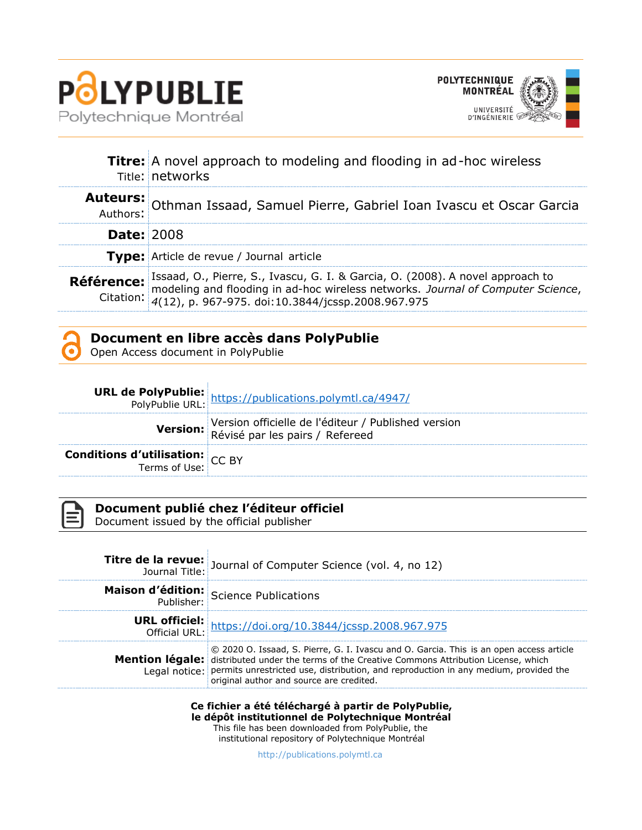



|                   | <b>Titre:</b> A novel approach to modeling and flooding in ad-hoc wireless<br>Title: networks                                                                                                                                                   |
|-------------------|-------------------------------------------------------------------------------------------------------------------------------------------------------------------------------------------------------------------------------------------------|
|                   | Auteurs: Othman Issaad, Samuel Pierre, Gabriel Ioan Ivascu et Oscar Garcia                                                                                                                                                                      |
| <b>Date: 2008</b> |                                                                                                                                                                                                                                                 |
|                   | <b>Type:</b> Article de revue / Journal article                                                                                                                                                                                                 |
|                   | <b>Référence:</b> Issaad, O., Pierre, S., Ivascu, G. I. & Garcia, O. (2008). A novel approach to<br>modeling and flooding in ad-hoc wireless networks. <i>Journal of Computer Science</i> ,<br>Citation: 4(12), p. 967-975. doi:10.3844/jcssp.2 |



Open Access document in PolyPublie

|                                                           | <b>URL de PolyPublie:</b> https://publications.polymtl.ca/4947/<br>PolyPublie URL: https://publications.polymtl.ca/4947/ |
|-----------------------------------------------------------|--------------------------------------------------------------------------------------------------------------------------|
|                                                           | Version officielle de l'éditeur / Published version<br>Révisé par les pairs / Refereed                                   |
| <b>Conditions d'utilisation:</b> $CC$ BY<br>Terms of Use: |                                                                                                                          |

# **Document publié chez l'éditeur officiel**

Document issued by the official publisher

| <b>Titre de la revue:</b> Journal of Computer Science (vol. 4, no 12)<br>Journal Title: Journal of Computer Science (vol. 4, no 12)                                                                                                                                                                                                             |
|-------------------------------------------------------------------------------------------------------------------------------------------------------------------------------------------------------------------------------------------------------------------------------------------------------------------------------------------------|
| Maison d'édition: Science Publications                                                                                                                                                                                                                                                                                                          |
| <b>URL officiel:</b><br>Official URL: https://doi.org/10.3844/jcssp.2008.967.975                                                                                                                                                                                                                                                                |
| © 2020 O. Issaad, S. Pierre, G. I. Ivascu and O. Garcia. This is an open access article<br><b>Mention légale:</b> distributed under the terms of the Creative Commons Attribution License, which Legal notice: permits unrestricted use, distribution, and reproduction in any medium, provided the<br>original author and source are credited. |

**Ce fichier a été téléchargé à partir de PolyPublie, le dépôt institutionnel de Polytechnique Montréal** This file has been downloaded from PolyPublie, the

institutional repository of Polytechnique Montréal

[http://publications.polymtl.ca](http://publications.polymtl.ca/)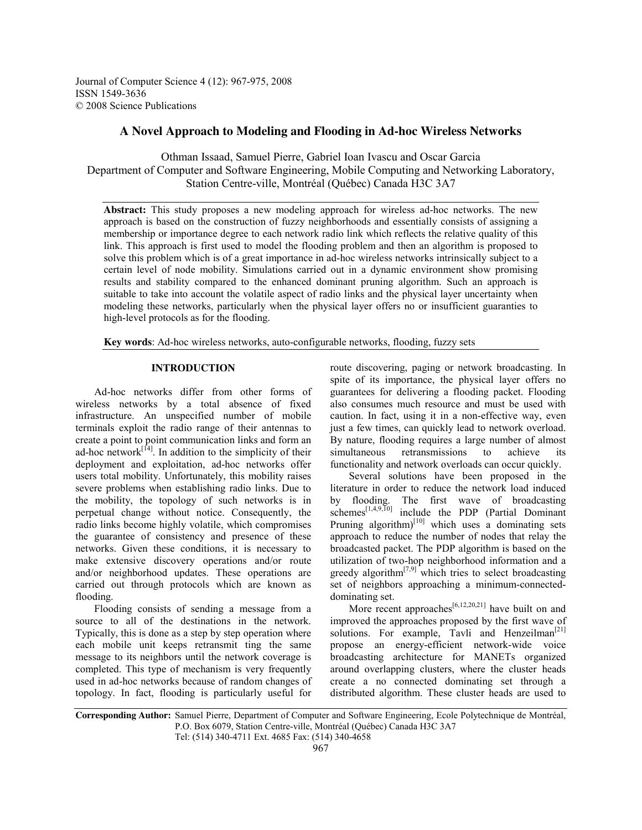Journal of Computer Science 4 (12): 967-975, 2008 ISSN 1549-3636 © 2008 Science Publications

## **A Novel Approach to Modeling and Flooding in Ad-hoc Wireless Networks**

Othman Issaad, Samuel Pierre, Gabriel Ioan Ivascu and Oscar Garcia Department of Computer and Software Engineering, Mobile Computing and Networking Laboratory, Station Centre-ville, Montréal (Québec) Canada H3C 3A7

**Abstract:** This study proposes a new modeling approach for wireless ad-hoc networks. The new approach is based on the construction of fuzzy neighborhoods and essentially consists of assigning a membership or importance degree to each network radio link which reflects the relative quality of this link. This approach is first used to model the flooding problem and then an algorithm is proposed to solve this problem which is of a great importance in ad-hoc wireless networks intrinsically subject to a certain level of node mobility. Simulations carried out in a dynamic environment show promising results and stability compared to the enhanced dominant pruning algorithm. Such an approach is suitable to take into account the volatile aspect of radio links and the physical layer uncertainty when modeling these networks, particularly when the physical layer offers no or insufficient guaranties to high-level protocols as for the flooding.

**Key words**: Ad-hoc wireless networks, auto-configurable networks, flooding, fuzzy sets

#### **INTRODUCTION**

 Ad-hoc networks differ from other forms of wireless networks by a total absence of fixed infrastructure. An unspecified number of mobile terminals exploit the radio range of their antennas to create a point to point communication links and form an ad-hoc network<sup>[14]</sup>. In addition to the simplicity of their deployment and exploitation, ad-hoc networks offer users total mobility. Unfortunately, this mobility raises severe problems when establishing radio links. Due to the mobility, the topology of such networks is in perpetual change without notice. Consequently, the radio links become highly volatile, which compromises the guarantee of consistency and presence of these networks. Given these conditions, it is necessary to make extensive discovery operations and/or route and/or neighborhood updates. These operations are carried out through protocols which are known as flooding.

 Flooding consists of sending a message from a source to all of the destinations in the network. Typically, this is done as a step by step operation where each mobile unit keeps retransmit ting the same message to its neighbors until the network coverage is completed. This type of mechanism is very frequently used in ad-hoc networks because of random changes of topology. In fact, flooding is particularly useful for

route discovering, paging or network broadcasting. In spite of its importance, the physical layer offers no guarantees for delivering a flooding packet. Flooding also consumes much resource and must be used with caution. In fact, using it in a non-effective way, even just a few times, can quickly lead to network overload. By nature, flooding requires a large number of almost simultaneous retransmissions to achieve its functionality and network overloads can occur quickly.

 Several solutions have been proposed in the literature in order to reduce the network load induced by flooding. The first wave of broadcasting schemes<sup>[1,4,9,10]</sup> include the PDP (Partial Dominant Pruning algorithm) $[10]$  which uses a dominating sets approach to reduce the number of nodes that relay the broadcasted packet. The PDP algorithm is based on the utilization of two-hop neighborhood information and a greedy algorithm<sup>[7,9]</sup> which tries to select broadcasting set of neighbors approaching a minimum-connecteddominating set.

More recent approaches<sup>[6,12,20,21]</sup> have built on and improved the approaches proposed by the first wave of solutions. For example, Tavli and Henzeilman $[21]$ propose an energy-efficient network-wide voice broadcasting architecture for MANETs organized around overlapping clusters, where the cluster heads create a no connected dominating set through a distributed algorithm. These cluster heads are used to

**Corresponding Author:** Samuel Pierre, Department of Computer and Software Engineering, Ecole Polytechnique de Montréal, P.O. Box 6079, Station Centre-ville, Montréal (Québec) Canada H3C 3A7 Tel: (514) 340-4711 Ext. 4685 Fax: (514) 340-4658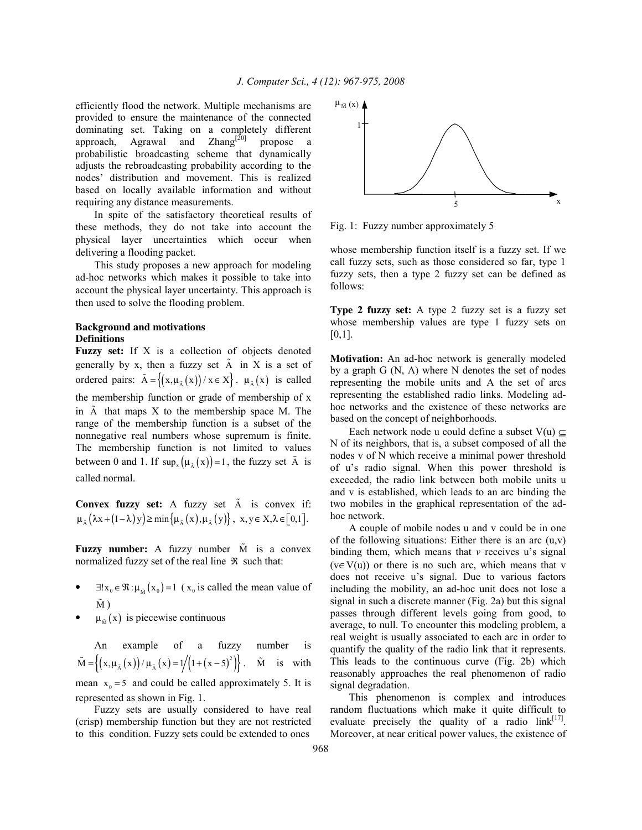efficiently flood the network. Multiple mechanisms are provided to ensure the maintenance of the connected dominating set. Taking on a completely different approach, Agrawal and  $Zhang^{[20]}$  propose a approach, Agrawal and  $\text{Zhang}^{[20]}$  propose a probabilistic broadcasting scheme that dynamically adjusts the rebroadcasting probability according to the nodes' distribution and movement. This is realized based on locally available information and without requiring any distance measurements.

 In spite of the satisfactory theoretical results of these methods, they do not take into account the physical layer uncertainties which occur when delivering a flooding packet.

 This study proposes a new approach for modeling ad-hoc networks which makes it possible to take into account the physical layer uncertainty. This approach is then used to solve the flooding problem.

### **Background and motivations Definitions**

Fuzzy set: If X is a collection of objects denoted generally by x, then a fuzzy set  $\tilde{A}$  in X is a set of ordered pairs:  $\tilde{A} = \{ (x, \mu_{\tilde{A}}(x)) / x \in X \}$ .  $\mu_{\tilde{A}}(x)$  is called the membership function or grade of membership of x in A that maps X to the membership space M. The range of the membership function is a subset of the nonnegative real numbers whose supremum is finite. The membership function is not limited to values between 0 and 1. If  $\sup_x (\mu_{\tilde{A}}(x)) = 1$ , the fuzzy set  $\tilde{A}$  is called normal.

**Convex fuzzy set:** A fuzzy set  $\tilde{A}$  is convex if:  $\mu_{\tilde{A}}(\lambda x + (1-\lambda) y) \ge \min\{\mu_{\tilde{A}}(x), \mu_{\tilde{A}}(y)\}, x, y \in X, \lambda \in [0,1].$ 

Fuzzy number: A fuzzy number  $\tilde{M}$  is a convex normalized fuzzy set of the real line  $\Re$  such that:

- $\exists! x_0 \in \mathfrak{R} : \mu_{\hat{M}}(x_0) = 1$  ( $x_0$  is called the mean value of  $\tilde{\rm M}$ )
- $\mu_{\tilde{M}}(x)$  is piecewise continuous

An example of a fuzzy number is  $\tilde{M} = \left\{ (x, \mu_{\tilde{A}}(x)) / \mu_{\tilde{A}}(x) = 1 / (1 + (x - 5)^2) \right\}.$  $\tilde{M}$  is with mean  $x_0 = 5$  and could be called approximately 5. It is represented as shown in Fig. 1.

 Fuzzy sets are usually considered to have real (crisp) membership function but they are not restricted to this condition. Fuzzy sets could be extended to ones



Fig. 1: Fuzzy number approximately 5

whose membership function itself is a fuzzy set. If we call fuzzy sets, such as those considered so far, type 1 fuzzy sets, then a type 2 fuzzy set can be defined as follows:

**Type 2 fuzzy set:** A type 2 fuzzy set is a fuzzy set whose membership values are type 1 fuzzy sets on  $[0,1]$ .

**Motivation:** An ad-hoc network is generally modeled by a graph G (N, A) where N denotes the set of nodes representing the mobile units and A the set of arcs representing the established radio links. Modeling adhoc networks and the existence of these networks are based on the concept of neighborhoods.

Each network node u could define a subset  $V(u) \subset$ N of its neighbors, that is, a subset composed of all the nodes v of N which receive a minimal power threshold of u's radio signal. When this power threshold is exceeded, the radio link between both mobile units u and v is established, which leads to an arc binding the two mobiles in the graphical representation of the adhoc network.

 A couple of mobile nodes u and v could be in one of the following situations: Either there is an arc  $(u, v)$ binding them, which means that *v* receives u's signal  $(v \in V(u))$  or there is no such arc, which means that v does not receive u's signal. Due to various factors including the mobility, an ad-hoc unit does not lose a signal in such a discrete manner (Fig. 2a) but this signal passes through different levels going from good, to average, to null. To encounter this modeling problem, a real weight is usually associated to each arc in order to quantify the quality of the radio link that it represents. This leads to the continuous curve (Fig. 2b) which reasonably approaches the real phenomenon of radio signal degradation.

 This phenomenon is complex and introduces random fluctuations which make it quite difficult to evaluate precisely the quality of a radio  $link^{[17]}$ . Moreover, at near critical power values, the existence of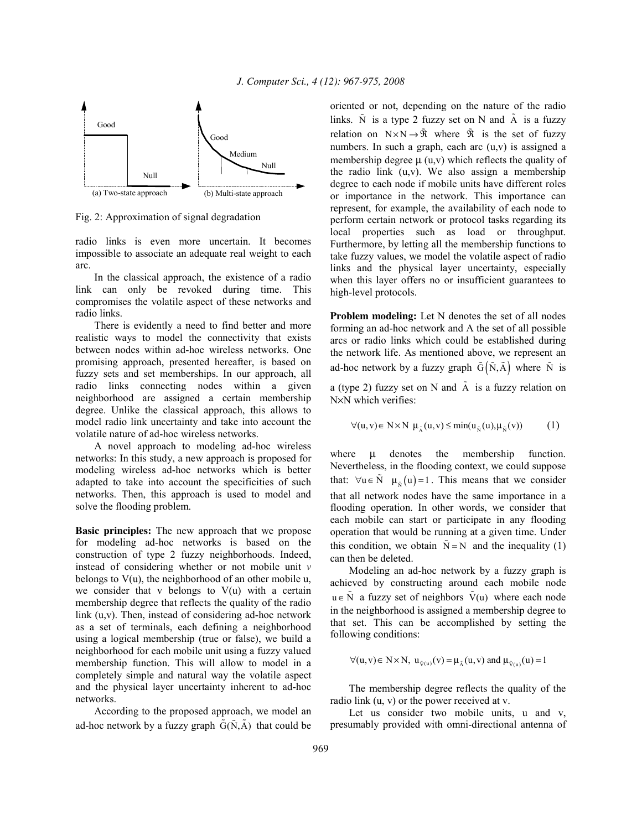

Fig. 2: Approximation of signal degradation

radio links is even more uncertain. It becomes impossible to associate an adequate real weight to each arc.

 In the classical approach, the existence of a radio link can only be revoked during time. This compromises the volatile aspect of these networks and radio links.

 There is evidently a need to find better and more realistic ways to model the connectivity that exists between nodes within ad-hoc wireless networks. One promising approach, presented hereafter, is based on fuzzy sets and set memberships. In our approach, all radio links connecting nodes within a given neighborhood are assigned a certain membership degree. Unlike the classical approach, this allows to model radio link uncertainty and take into account the volatile nature of ad-hoc wireless networks.

 A novel approach to modeling ad-hoc wireless networks: In this study, a new approach is proposed for modeling wireless ad-hoc networks which is better adapted to take into account the specificities of such networks. Then, this approach is used to model and solve the flooding problem.

**Basic principles:** The new approach that we propose for modeling ad-hoc networks is based on the construction of type 2 fuzzy neighborhoods. Indeed, instead of considering whether or not mobile unit *v* belongs to  $V(u)$ , the neighborhood of an other mobile u, we consider that v belongs to  $V(u)$  with a certain membership degree that reflects the quality of the radio link (u,v). Then, instead of considering ad-hoc network as a set of terminals, each defining a neighborhood using a logical membership (true or false), we build a neighborhood for each mobile unit using a fuzzy valued membership function. This will allow to model in a completely simple and natural way the volatile aspect and the physical layer uncertainty inherent to ad-hoc networks.

 According to the proposed approach, we model an ad-hoc network by a fuzzy graph  $G(\tilde{N}, \tilde{A})$  that could be oriented or not, depending on the nature of the radio links.  $\tilde{N}$  is a type 2 fuzzy set on N and  $\tilde{A}$  is a fuzzy relation on  $N \times N \rightarrow \tilde{N}$  where  $\tilde{N}$  is the set of fuzzy numbers. In such a graph, each arc (u,v) is assigned a membership degree  $\mu$  (u,v) which reflects the quality of the radio link (u,v). We also assign a membership degree to each node if mobile units have different roles or importance in the network. This importance can represent, for example, the availability of each node to perform certain network or protocol tasks regarding its local properties such as load or throughput. Furthermore, by letting all the membership functions to take fuzzy values, we model the volatile aspect of radio links and the physical layer uncertainty, especially when this layer offers no or insufficient guarantees to high-level protocols.

**Problem modeling:** Let N denotes the set of all nodes forming an ad-hoc network and A the set of all possible arcs or radio links which could be established during the network life. As mentioned above, we represent an ad-hoc network by a fuzzy graph  $\tilde{G}(\tilde{N}, \tilde{A})$  where  $\tilde{N}$  is a (type 2) fuzzy set on N and  $\tilde{A}$  is a fuzzy relation on N×N which verifies:

$$
\forall (u, v) \in N \times N \mu_{\tilde{A}}(u, v) \le \min(u_{\tilde{N}}(u), \mu_{\tilde{N}}(v))
$$
 (1)

where  $\mu$  denotes the membership function. Nevertheless, in the flooding context, we could suppose that:  $\forall u \in \tilde{N}$   $\mu_{\tilde{N}}(u) = 1$ . This means that we consider that all network nodes have the same importance in a flooding operation. In other words, we consider that each mobile can start or participate in any flooding operation that would be running at a given time. Under this condition, we obtain  $\tilde{N} = N$  and the inequality (1) can then be deleted.

 Modeling an ad-hoc network by a fuzzy graph is achieved by constructing around each mobile node  $u \in \tilde{N}$  a fuzzy set of neighbors  $\tilde{V}(u)$  where each node in the neighborhood is assigned a membership degree to that set. This can be accomplished by setting the following conditions:

$$
\forall (u, v) \in N \times N, u_{\tilde{v}(u)}(v) = \mu_{\tilde{A}}(u, v) \text{ and } \mu_{\tilde{v}(u)}(u) = 1
$$

The membership degree reflects the quality of the radio link (u, v) or the power received at v.

 Let us consider two mobile units, u and v, presumably provided with omni-directional antenna of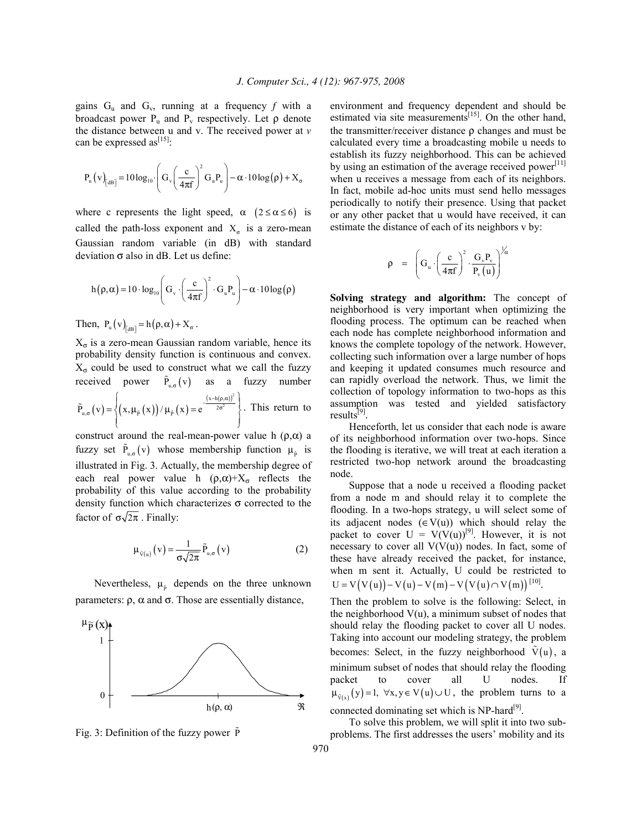gains  $G_u$  and  $G_v$ , running at a frequency  $f$  with a broadcast power  $P_u$  and  $P_v$  respectively. Let  $\rho$  denote the distance between u and v. The received power at *v* can be expressed as<sup>[15]</sup>:

$$
P_{u}(v)_{[dB]} = 10 \log_{10} \left( G_{v} \left( \frac{c}{4 \pi f} \right)^{2} G_{u} P_{u} \right) - \alpha \cdot 10 \log(\rho) + X_{\sigma}
$$

where c represents the light speed,  $\alpha$  (2 ≤  $\alpha$  ≤ 6) is called the path-loss exponent and  $X_{\sigma}$  is a zero-mean Gaussian random variable (in dB) with standard deviation σ also in dB. Let us define:

$$
h(\rho,\alpha) = 10 \cdot \log_{10} \left( G_{\rm v} \cdot \left( \frac{c}{4\pi f} \right)^2 \cdot G_{\rm u} P_{\rm u} \right) - \alpha \cdot 10 \log(\rho)
$$

Then,  $P_u(v)_{\text{[dB]}} = h(\rho, \alpha) + X_{\sigma}$ .

 $X_{\sigma}$  is a zero-mean Gaussian random variable, hence its probability density function is continuous and convex.  $X_{\sigma}$  could be used to construct what we call the fuzzy received power  $\tilde{P}_{u,\sigma}(v)$  as a fuzzy number  $(v) = \left\langle \left( x, \mu_{\tilde{p}} (x) \right) / \mu_{\tilde{p}} (x) \right\rangle$  $\frac{(\mathbf{x}-\mathbf{h}(\rho,\alpha))^2}{2\sigma^2}$  $P_{u,\sigma}(v) = \frac{1}{2} (x, \mu_{\tilde{p}}(x)) / \mu_{\tilde{p}}(x) = e^{-2}$  $\sigma_{\sigma}(v) = \left\langle \left( x, \mu_{\tilde{p}}(x) \right) / \mu_{\tilde{p}}(x) \right\rangle = e^{-\frac{\left( x - h(\rho, \alpha) \right)}{2\sigma^2}}$  $=\left\{\left(\mathbf{x}, \boldsymbol{\mu}_{\tilde{\mathbf{p}}}\left(\mathbf{x}\right)\right) / \boldsymbol{\mu}_{\tilde{\mathbf{p}}}\left(\mathbf{x}\right)\right) = e^{-\frac{\left(\mathbf{x}-\mathbf{h}\left(\boldsymbol{\rho}, \boldsymbol{\alpha}\right)\right)^{2}}{2\sigma^{2}}}\right\}$   $\tilde{P}_{n,\sigma}(v) = \left\{ (x,\mu_{\tilde{n}}(x))/\mu_{\tilde{n}}(x) = e^{\frac{(x-\mu_{\tilde{n}})^2}{2\sigma^2}} \right\}$ . This return to construct around the real-mean-power value h  $(\rho, \alpha)$  a

fuzzy set  $\tilde{P}_{u,\sigma}(v)$  whose membership function  $\mu_{\tilde{p}}$  is illustrated in Fig. 3. Actually, the membership degree of each real power value h  $(\rho, \alpha) + X_{\sigma}$  reflects the probability of this value according to the probability density function which characterizes  $\sigma$  corrected to the factor of  $\sigma\sqrt{2\pi}$ . Finally:

$$
\mu_{\tilde{v}(u)}(v) = \frac{1}{\sigma\sqrt{2\pi}}\tilde{P}_{u,\sigma}(v)
$$
 (2)

Nevertheless,  $\mu_{\tilde{p}}$  depends on the three unknown parameters: ρ, α and σ. Those are essentially distance,



Fig. 3: Definition of the fuzzy power  $\tilde{P}$ 

environment and frequency dependent and should be estimated via site measurements<sup>[15]</sup>. On the other hand, the transmitter/receiver distance ρ changes and must be calculated every time a broadcasting mobile u needs to establish its fuzzy neighborhood. This can be achieved by using an estimation of the average received power<sup>[11]</sup> when u receives a message from each of its neighbors. In fact, mobile ad-hoc units must send hello messages periodically to notify their presence. Using that packet or any other packet that u would have received, it can estimate the distance of each of its neighbors v by:

$$
\rho = \left( G_u \cdot \left( \frac{c}{4\pi f} \right)^2 \cdot \frac{G_v P_v}{P_v(u)} \right)^{1/2}
$$

**Solving strategy and algorithm:** The concept of neighborhood is very important when optimizing the flooding process. The optimum can be reached when each node has complete neighborhood information and knows the complete topology of the network. However, collecting such information over a large number of hops and keeping it updated consumes much resource and can rapidly overload the network. Thus, we limit the collection of topology information to two-hops as this assumption was tested and yielded satisfactory results<sup>[9]</sup>.

 Henceforth, let us consider that each node is aware of its neighborhood information over two-hops. Since the flooding is iterative, we will treat at each iteration a restricted two-hop network around the broadcasting node.

 Suppose that a node u received a flooding packet from a node m and should relay it to complete the flooding. In a two-hops strategy, u will select some of its adjacent nodes  $(∈V(u))$  which should relay the packet to cover  $U = V(V(u))^{[9]}$ . However, it is not necessary to cover all  $V(V(u))$  nodes. In fact, some of these have already received the packet, for instance, when m sent it. Actually, U could be restricted to  $U = V(V(u)) - V(u) - V(m) - V(V(u) \cap V(m))$ <sup>[10]</sup>.

Then the problem to solve is the following: Select, in the neighborhood  $V(u)$ , a minimum subset of nodes that should relay the flooding packet to cover all U nodes. Taking into account our modeling strategy, the problem becomes: Select, in the fuzzy neighborhood  $\tilde{V}(u)$ , a minimum subset of nodes that should relay the flooding packet to cover all U nodes. If  $\mu_{\tilde{v}(x)}(y) = 1, \forall x, y \in V(u) \cup U$ , the problem turns to a connected dominating set which is NP-hard<sup>[9]</sup>.

 To solve this problem, we will split it into two subproblems. The first addresses the users' mobility and its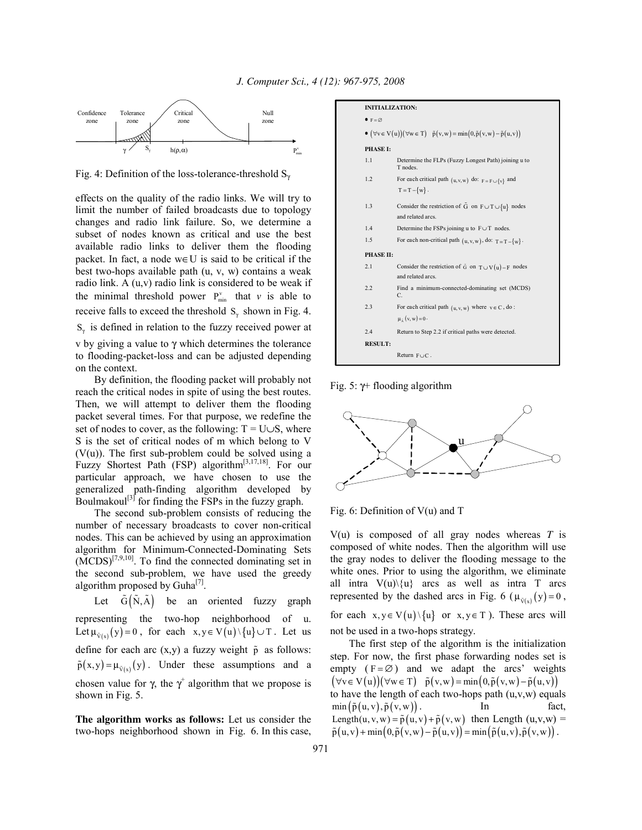

Fig. 4: Definition of the loss-tolerance-threshold  $S_{\gamma}$ 

effects on the quality of the radio links. We will try to limit the number of failed broadcasts due to topology changes and radio link failure. So, we determine a subset of nodes known as critical and use the best available radio links to deliver them the flooding packet. In fact, a node w∈U is said to be critical if the best two-hops available path (u, v, w) contains a weak radio link. A (u,v) radio link is considered to be weak if the minimal threshold power  $P_{\min}^v$  that *v* is able to receive falls to exceed the threshold  $S_{\gamma}$  shown in Fig. 4.  $S_{\gamma}$  is defined in relation to the fuzzy received power at v by giving a value to γ which determines the tolerance to flooding-packet-loss and can be adjusted depending on the context.

 By definition, the flooding packet will probably not reach the critical nodes in spite of using the best routes. Then, we will attempt to deliver them the flooding packet several times. For that purpose, we redefine the set of nodes to cover, as the following:  $T = U \cup S$ , where S is the set of critical nodes of m which belong to V  $(V(u))$ . The first sub-problem could be solved using a Fuzzy Shortest Path (FSP) algorithm<sup>[3,17,18]</sup>. For our particular approach, we have chosen to use the generalized path-finding algorithm developed by Boulmakoul $[3]$  for finding the FSPs in the fuzzy graph.

 The second sub-problem consists of reducing the number of necessary broadcasts to cover non-critical nodes. This can be achieved by using an approximation algorithm for Minimum-Connected-Dominating Sets  $(MCDS)^{[7,9,10]}$ . To find the connected dominating set in the second sub-problem, we have used the greedy algorithm proposed by Guha<sup>[7]</sup>.

Let  $\tilde{G}(\tilde{N}, \tilde{A})$  be an oriented fuzzy graph representing the two-hop neighborhood of u. Let  $\mu_{\tilde{V}(x)}(y) = 0$ , for each  $x, y \in V(u) \setminus \{u\} \cup T$ . Let us define for each arc  $(x,y)$  a fuzzy weight  $\tilde{p}$  as follows:  $\tilde{p}(x,y) = \mu_{\tilde{v}(x)}(y)$ . Under these assumptions and a chosen value for  $\gamma$ , the  $\gamma^+$  algorithm that we propose is shown in Fig. 5.

**The algorithm works as follows:** Let us consider the two-hops neighborhood shown in Fig. 6. In this case,

|  | <b>INITIALIZATIO</b> |
|--|----------------------|
|  |                      |

| INITIALIZATION:                                                                                                 |                                                                                         |  |
|-----------------------------------------------------------------------------------------------------------------|-----------------------------------------------------------------------------------------|--|
| $F = \emptyset$                                                                                                 |                                                                                         |  |
| $\bullet$ $(\forall v \in V(u))(\forall w \in T)$ $\tilde{p}(v, w) = min(0, \tilde{p}(v, w) - \tilde{p}(u, v))$ |                                                                                         |  |
| <b>PHASE I:</b>                                                                                                 |                                                                                         |  |
| 1.1                                                                                                             | Determine the FLPs (Fuzzy Longest Path) joining u to<br>T nodes.                        |  |
| 1.2                                                                                                             | For each critical path $(u, v, w)$ do: $F = F \cup \{v\}$ and                           |  |
|                                                                                                                 | $T = T - \{w\}$ .                                                                       |  |
| 1.3                                                                                                             | Consider the restriction of $\tilde{G}$ on $F \cup T \cup \{u\}$ nodes                  |  |
|                                                                                                                 | and related arcs.                                                                       |  |
| 1.4                                                                                                             | Determine the FSPs joining $u$ to $F \cup T$ nodes.                                     |  |
| 1.5                                                                                                             | For each non-critical path $(u, v, w)$ , do: $T = T - \{w\}$ .                          |  |
| PHASE II:                                                                                                       |                                                                                         |  |
| 2.1                                                                                                             | Consider the restriction of $\tilde{G}$ on $T \cup V(u) - F$ nodes<br>and related arcs. |  |
| 2.2                                                                                                             | Find a minimum-connected-dominating set (MCDS)<br>$\mathcal{C}$ .                       |  |
| 2.3                                                                                                             | For each critical path $(u, v, w)$ where $v \in C$ , do:                                |  |
|                                                                                                                 | $\mu_{\tau}$ (v, w) = 0 ·                                                               |  |
| 2.4                                                                                                             | Return to Step 2.2 if critical paths were detected.                                     |  |
| <b>RESULT:</b>                                                                                                  |                                                                                         |  |
|                                                                                                                 | Return $F \cup C$ .                                                                     |  |
|                                                                                                                 |                                                                                         |  |

Fig. 5: γ+ flooding algorithm



Fig. 6: Definition of V(u) and T

V(u) is composed of all gray nodes whereas *T* is composed of white nodes. Then the algorithm will use the gray nodes to deliver the flooding message to the white ones. Prior to using the algorithm, we eliminate all intra  $V(u)\$ {u} arcs as well as intra T arcs represented by the dashed arcs in Fig. 6 ( $\mu_{\tilde{v}(x)}(y) = 0$ , for each  $x, y \in V(u) \setminus \{u\}$  or  $x, y \in T$ ). These arcs will not be used in a two-hops strategy.

 The first step of the algorithm is the initialization step. For now, the first phase forwarding nodes set is empty  $(F = \emptyset)$  and we adapt the arcs' weights  $(\forall v \in V(u))(\forall w \in T)$   $\tilde{p}(v, w) = min(0, \tilde{p}(v, w) - \tilde{p}(u, v))$ to have the length of each two-hops path  $(u,v,w)$  equals  $\min(\tilde{p}(u, v), \tilde{p}(v, w))$ . In fact, Length(u, v, w) =  $\tilde{p}(u, v) + \tilde{p}(v, w)$  then Length (u, v, w) =  $\tilde{p}(u,v) + min(0,\tilde{p}(v,w) - \tilde{p}(u,v)) = min(\tilde{p}(u,v),\tilde{p}(v,w))$ .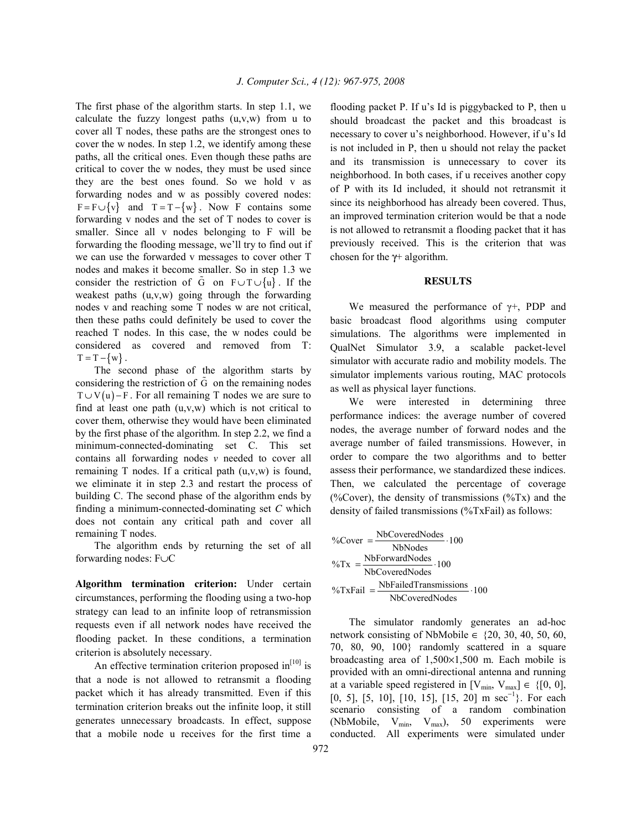The first phase of the algorithm starts. In step 1.1, we calculate the fuzzy longest paths  $(u, v, w)$  from u to cover all T nodes, these paths are the strongest ones to cover the w nodes. In step 1.2, we identify among these paths, all the critical ones. Even though these paths are critical to cover the w nodes, they must be used since they are the best ones found. So we hold v as forwarding nodes and w as possibly covered nodes:  $F = F \cup \{v\}$  and  $T = T - \{w\}$ . Now F contains some forwarding v nodes and the set of T nodes to cover is smaller. Since all v nodes belonging to F will be forwarding the flooding message, we'll try to find out if we can use the forwarded v messages to cover other T nodes and makes it become smaller. So in step 1.3 we consider the restriction of  $\tilde{G}$  on  $F \cup T \cup \{u\}$ . If the weakest paths (u,v,w) going through the forwarding nodes v and reaching some T nodes w are not critical, then these paths could definitely be used to cover the reached T nodes. In this case, the w nodes could be considered as covered and removed from T:  $T = T - \{w\}.$ 

The second phase of the algorithm starts by considering the restriction of  $\tilde{G}$  on the remaining nodes  $T \cup V(u) - F$ . For all remaining T nodes we are sure to find at least one path  $(u, v, w)$  which is not critical to cover them, otherwise they would have been eliminated by the first phase of the algorithm. In step 2.2, we find a minimum-connected-dominating set C. This set contains all forwarding nodes *v* needed to cover all remaining T nodes. If a critical path (u,v,w) is found, we eliminate it in step 2.3 and restart the process of building C. The second phase of the algorithm ends by finding a minimum-connected-dominating set *C* which does not contain any critical path and cover all remaining T nodes.

 The algorithm ends by returning the set of all forwarding nodes: F∪C

**Algorithm termination criterion:** Under certain circumstances, performing the flooding using a two-hop strategy can lead to an infinite loop of retransmission requests even if all network nodes have received the flooding packet. In these conditions, a termination criterion is absolutely necessary.

An effective termination criterion proposed in $[10]$  is that a node is not allowed to retransmit a flooding packet which it has already transmitted. Even if this termination criterion breaks out the infinite loop, it still generates unnecessary broadcasts. In effect, suppose that a mobile node u receives for the first time a flooding packet P. If u's Id is piggybacked to P, then u should broadcast the packet and this broadcast is necessary to cover u's neighborhood. However, if u's Id is not included in P, then u should not relay the packet and its transmission is unnecessary to cover its neighborhood. In both cases, if u receives another copy of P with its Id included, it should not retransmit it since its neighborhood has already been covered. Thus, an improved termination criterion would be that a node is not allowed to retransmit a flooding packet that it has previously received. This is the criterion that was chosen for the  $\gamma$ + algorithm.

#### **RESULTS**

We measured the performance of  $\gamma$ +, PDP and basic broadcast flood algorithms using computer simulations. The algorithms were implemented in QualNet Simulator 3.9, a scalable packet-level simulator with accurate radio and mobility models. The simulator implements various routing, MAC protocols as well as physical layer functions.

 We were interested in determining three performance indices: the average number of covered nodes, the average number of forward nodes and the average number of failed transmissions. However, in order to compare the two algorithms and to better assess their performance, we standardized these indices. Then, we calculated the percentage of coverage (%Cover), the density of transmissions (%Tx) and the density of failed transmissions (%TxFail) as follows:

$$
\% \text{Cover} = \frac{\text{NbCoveredNodes}}{\text{NbNodes}} \cdot 100
$$
\n
$$
\% \text{Tx} = \frac{\text{NbForwardNodes}}{\text{NbCoveredNodes}} \cdot 100
$$
\n
$$
\% \text{TxFail} = \frac{\text{NbFailedTransmissions}}{\text{NbCoveredNodes}} \cdot 100
$$

The simulator randomly generates an ad-hoc network consisting of NbMobile  $\in \{20, 30, 40, 50, 60,$ 70, 80, 90, 100} randomly scattered in a square broadcasting area of 1,500×1,500 m. Each mobile is provided with an omni-directional antenna and running at a variable speed registered in  $[V_{min}, V_{max}] \in \{[0, 0],\}$ [0, 5], [5, 10], [10, 15], [15, 20] m sec<sup>-1</sup>}. For each scenario consisting of a random combination (NbMobile,  $V_{min}$ ,  $V_{max}$ ), 50 experiments were conducted. All experiments were simulated under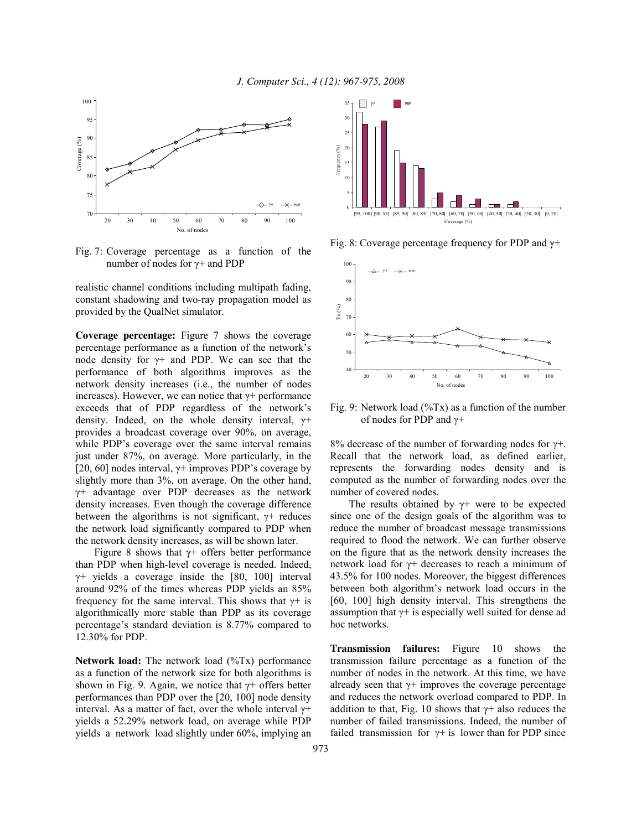

Fig. 7: Coverage percentage as a function of the number of nodes for  $\gamma$ + and PDP

realistic channel conditions including multipath fading, constant shadowing and two-ray propagation model as provided by the QualNet simulator.

**Coverage percentage:** Figure 7 shows the coverage percentage performance as a function of the network's node density for  $\gamma$ + and PDP. We can see that the performance of both algorithms improves as the network density increases (i.e., the number of nodes increases). However, we can notice that  $\gamma$ + performance exceeds that of PDP regardless of the network's density. Indeed, on the whole density interval,  $\gamma$ + provides a broadcast coverage over 90%, on average, while PDP's coverage over the same interval remains just under 87%, on average. More particularly, in the [20, 60] nodes interval,  $\gamma$ + improves PDP's coverage by slightly more than 3%, on average. On the other hand,  $\gamma$ + advantage over PDP decreases as the network density increases. Even though the coverage difference between the algorithms is not significant,  $\gamma$ + reduces the network load significantly compared to PDP when the network density increases, as will be shown later.

Figure 8 shows that  $\gamma$ + offers better performance than PDP when high-level coverage is needed. Indeed,  $\gamma$ + yields a coverage inside the [80, 100] interval around 92% of the times whereas PDP yields an 85% frequency for the same interval. This shows that  $\gamma$ + is algorithmically more stable than PDP as its coverage percentage's standard deviation is 8.77% compared to 12.30% for PDP.

**Network load:** The network load (%Tx) performance as a function of the network size for both algorithms is shown in Fig. 9. Again, we notice that  $\gamma$ + offers better performances than PDP over the [20, 100] node density interval. As a matter of fact, over the whole interval  $\gamma$ + yields a 52.29% network load, on average while PDP yields a network load slightly under 60%, implying an



Fig. 8: Coverage percentage frequency for PDP and  $\gamma$ +



Fig. 9: Network load (%Tx) as a function of the number of nodes for PDP and  $\gamma$ +

8% decrease of the number of forwarding nodes for  $\gamma$ +. Recall that the network load, as defined earlier, represents the forwarding nodes density and is computed as the number of forwarding nodes over the number of covered nodes.

The results obtained by  $\gamma$ + were to be expected since one of the design goals of the algorithm was to reduce the number of broadcast message transmissions required to flood the network. We can further observe on the figure that as the network density increases the network load for  $\gamma$ + decreases to reach a minimum of 43.5% for 100 nodes. Moreover, the biggest differences between both algorithm's network load occurs in the [60, 100] high density interval. This strengthens the assumption that  $\gamma$  is especially well suited for dense ad hoc networks.

**Transmission failures:** Figure 10 shows the transmission failure percentage as a function of the number of nodes in the network. At this time, we have already seen that  $\gamma$  improves the coverage percentage and reduces the network overload compared to PDP. In addition to that, Fig. 10 shows that  $\gamma$ + also reduces the number of failed transmissions. Indeed, the number of failed transmission for  $\gamma$ + is lower than for PDP since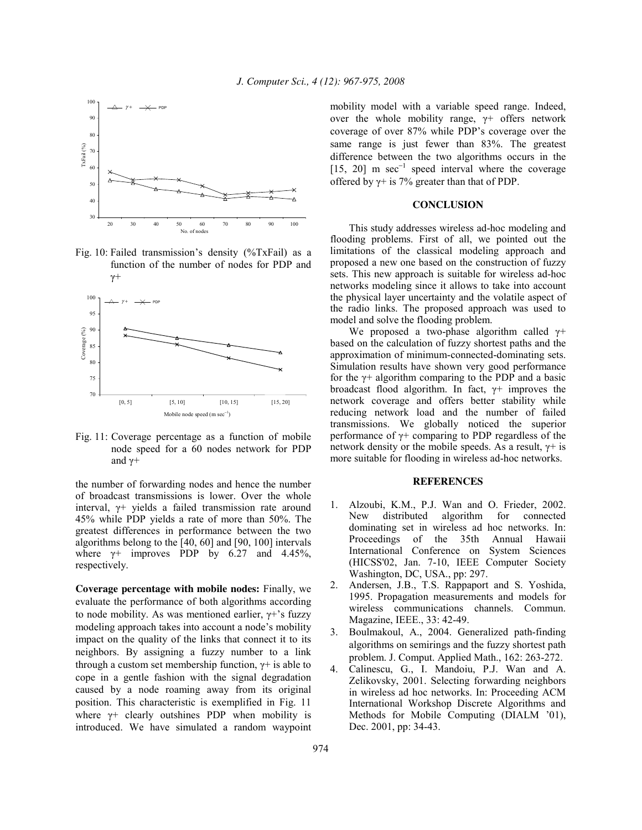

Fig. 10: Failed transmission's density (%TxFail) as a function of the number of nodes for PDP and



Fig. 11: Coverage percentage as a function of mobile node speed for a 60 nodes network for PDP and  $\gamma$ +

the number of forwarding nodes and hence the number of broadcast transmissions is lower. Over the whole interval,  $\gamma$ + yields a failed transmission rate around 45% while PDP yields a rate of more than 50%. The greatest differences in performance between the two algorithms belong to the [40, 60] and [90, 100] intervals where  $\gamma$ + improves PDP by 6.27 and 4.45%, respectively.

**Coverage percentage with mobile nodes:** Finally, we evaluate the performance of both algorithms according to node mobility. As was mentioned earlier,  $\gamma$ +'s fuzzy modeling approach takes into account a node's mobility impact on the quality of the links that connect it to its neighbors. By assigning a fuzzy number to a link through a custom set membership function,  $\gamma$ + is able to cope in a gentle fashion with the signal degradation caused by a node roaming away from its original position. This characteristic is exemplified in Fig. 11 where  $\gamma$ + clearly outshines PDP when mobility is introduced. We have simulated a random waypoint

mobility model with a variable speed range. Indeed, over the whole mobility range,  $\gamma$ + offers network coverage of over 87% while PDP's coverage over the same range is just fewer than 83%. The greatest difference between the two algorithms occurs in the [15, 20] m sec<sup>-1</sup> speed interval where the coverage offered by  $\gamma$ + is 7% greater than that of PDP.

## **CONCLUSION**

 This study addresses wireless ad-hoc modeling and flooding problems. First of all, we pointed out the limitations of the classical modeling approach and proposed a new one based on the construction of fuzzy sets. This new approach is suitable for wireless ad-hoc networks modeling since it allows to take into account the physical layer uncertainty and the volatile aspect of the radio links. The proposed approach was used to model and solve the flooding problem.

We proposed a two-phase algorithm called  $\gamma$ + based on the calculation of fuzzy shortest paths and the approximation of minimum-connected-dominating sets. Simulation results have shown very good performance for the  $\gamma$ + algorithm comparing to the PDP and a basic broadcast flood algorithm. In fact,  $\gamma$ + improves the network coverage and offers better stability while reducing network load and the number of failed transmissions. We globally noticed the superior performance of  $\gamma$ + comparing to PDP regardless of the network density or the mobile speeds. As a result,  $\gamma$ + is more suitable for flooding in wireless ad-hoc networks.

#### **REFERENCES**

- 1. Alzoubi, K.M., P.J. Wan and O. Frieder, 2002. New distributed algorithm for connected dominating set in wireless ad hoc networks. In: Proceedings of the 35th Annual Hawaii International Conference on System Sciences (HICSS'02, Jan. 7-10, IEEE Computer Society Washington, DC, USA., pp: 297.
- 2. Andersen, J.B., T.S. Rappaport and S. Yoshida, 1995. Propagation measurements and models for wireless communications channels. Commun. Magazine, IEEE., 33: 42-49.
- 3. Boulmakoul, A., 2004. Generalized path-finding algorithms on semirings and the fuzzy shortest path problem. J. Comput. Applied Math., 162: 263-272.
- 4. Calinescu, G., I. Mandoiu, P.J. Wan and A. Zelikovsky, 2001. Selecting forwarding neighbors in wireless ad hoc networks. In: Proceeding ACM International Workshop Discrete Algorithms and Methods for Mobile Computing (DIALM '01), Dec. 2001, pp: 34-43.